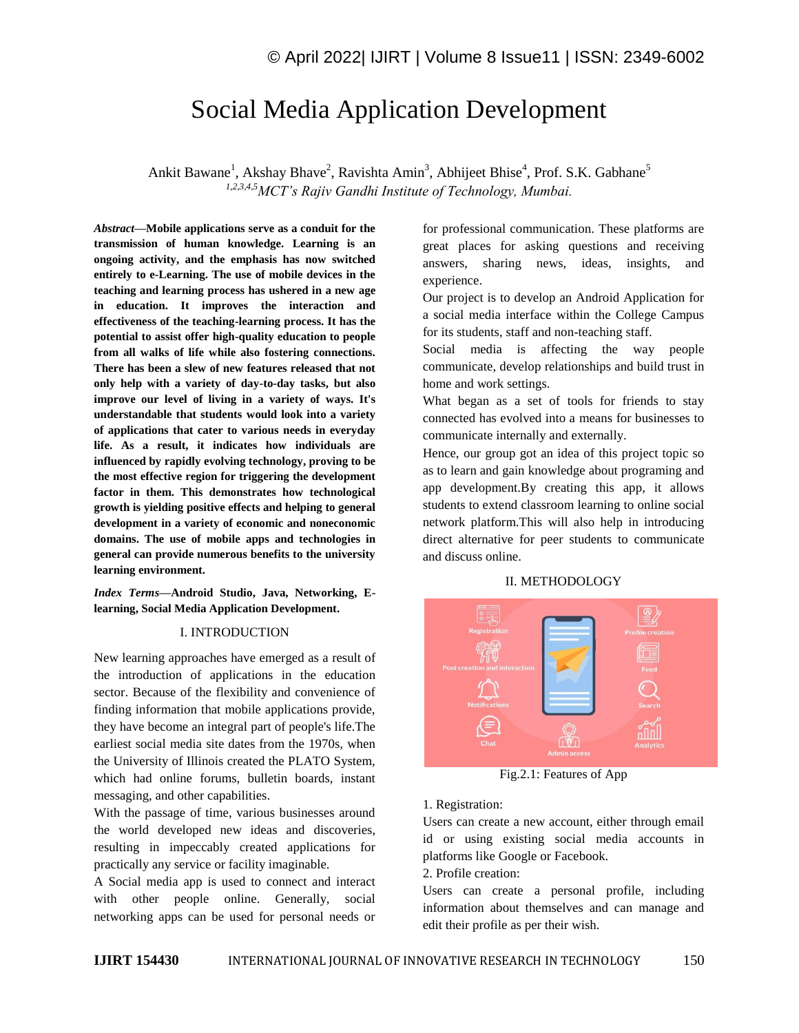# Social Media Application Development

Ankit Bawane<sup>1</sup>, Akshay Bhave<sup>2</sup>, Ravishta Amin<sup>3</sup>, Abhijeet Bhise<sup>4</sup>, Prof. S.K. Gabhane<sup>5</sup> *1,2,3,4,5MCT's Rajiv Gandhi Institute of Technology, Mumbai.*

*Abstract—***Mobile applications serve as a conduit for the transmission of human knowledge. Learning is an ongoing activity, and the emphasis has now switched entirely to e-Learning. The use of mobile devices in the teaching and learning process has ushered in a new age in education. It improves the interaction and effectiveness of the teaching-learning process. It has the potential to assist offer high-quality education to people from all walks of life while also fostering connections. There has been a slew of new features released that not only help with a variety of day-to-day tasks, but also improve our level of living in a variety of ways. It's understandable that students would look into a variety of applications that cater to various needs in everyday life. As a result, it indicates how individuals are influenced by rapidly evolving technology, proving to be the most effective region for triggering the development factor in them. This demonstrates how technological growth is yielding positive effects and helping to general development in a variety of economic and noneconomic domains. The use of mobile apps and technologies in general can provide numerous benefits to the university learning environment.**

*Index Terms—***Android Studio, Java, Networking, Elearning, Social Media Application Development.**

#### I. INTRODUCTION

New learning approaches have emerged as a result of the introduction of applications in the education sector. Because of the flexibility and convenience of finding information that mobile applications provide, they have become an integral part of people's life.The earliest social media site dates from the 1970s, when the University of Illinois created the PLATO System, which had online forums, bulletin boards, instant messaging, and other capabilities.

With the passage of time, various businesses around the world developed new ideas and discoveries, resulting in impeccably created applications for practically any service or facility imaginable.

A Social media app is used to connect and interact with other people online. Generally, social networking apps can be used for personal needs or for professional communication. These platforms are great places for asking questions and receiving answers, sharing news, ideas, insights, and experience.

Our project is to develop an Android Application for a social media interface within the College Campus for its students, staff and non-teaching staff.

Social media is affecting the way people communicate, develop relationships and build trust in home and work settings.

What began as a set of tools for friends to stay connected has evolved into a means for businesses to communicate internally and externally.

Hence, our group got an idea of this project topic so as to learn and gain knowledge about programing and app development.By creating this app, it allows students to extend classroom learning to online social network platform.This will also help in introducing direct alternative for peer students to communicate and discuss online.

#### II. METHODOLOGY



Fig.2.1: Features of App

1. Registration:

Users can create a new account, either through email id or using existing social media accounts in platforms like Google or Facebook.

2. Profile creation:

Users can create a personal profile, including information about themselves and can manage and edit their profile as per their wish.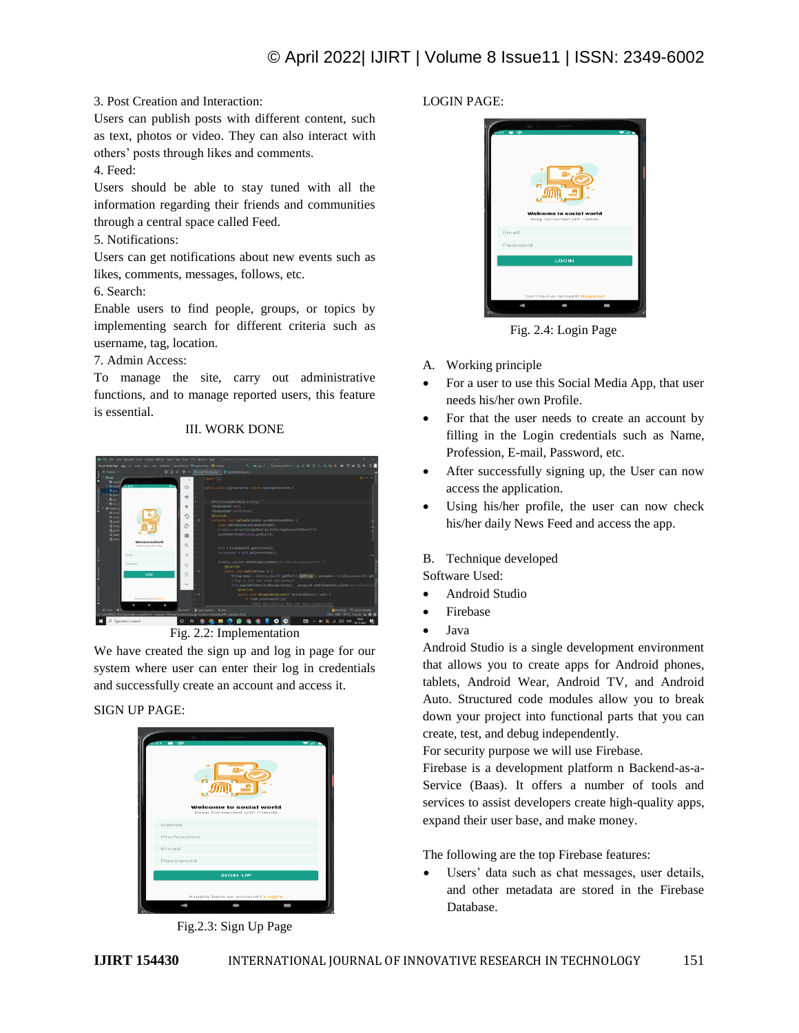# © April 2022| IJIRT | Volume 8 Issue11 | ISSN: 2349-6002

#### 3. Post Creation and Interaction:

Users can publish posts with different content, such as text, photos or video. They can also interact with others' posts through likes and comments.

#### 4. Feed:

Users should be able to stay tuned with all the information regarding their friends and communities through a central space called Feed.

## 5. Notifications:

Users can get notifications about new events such as likes, comments, messages, follows, etc.

6. Search:

Enable users to find people, groups, or topics by implementing search for different criteria such as username, tag, location.

#### 7. Admin Access:

To manage the site, carry out administrative functions, and to manage reported users, this feature is essential.

### III. WORK DONE



Fig. 2.2: Implementation

We have created the sign up and log in page for our system where user can enter their log in credentials and successfully create an account and access it.

### SIGN UP PAGE:



Fig.2.3: Sign Up Page

# LOGIN PAGE:



Fig. 2.4: Login Page

- A. Working principle
- For a user to use this Social Media App, that user needs his/her own Profile.
- For that the user needs to create an account by filling in the Login credentials such as Name, Profession, E-mail, Password, etc.
- After successfully signing up, the User can now access the application.
- Using his/her profile, the user can now check his/her daily News Feed and access the app.

### B. Technique developed

Software Used:

- Android Studio
- Firebase
- Java

Android Studio is a single development environment that allows you to create apps for Android phones, tablets, Android Wear, Android TV, and Android Auto. Structured code modules allow you to break down your project into functional parts that you can create, test, and debug independently.

For security purpose we will use Firebase.

Firebase is a development platform n Backend-as-a-Service (Baas). It offers a number of tools and services to assist developers create high-quality apps, expand their user base, and make money.

The following are the top Firebase features:

 Users' data such as chat messages, user details, and other metadata are stored in the Firebase Database.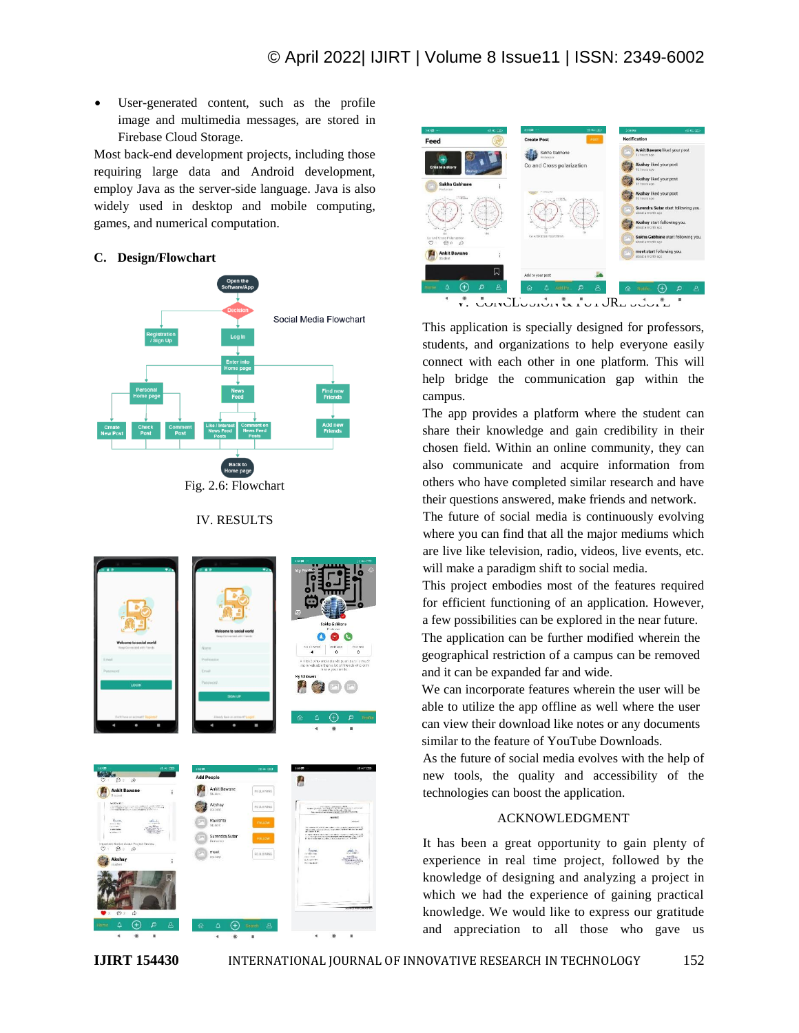User-generated content, such as the profile image and multimedia messages, are stored in Firebase Cloud Storage.

Most back-end development projects, including those requiring large data and Android development, employ Java as the server-side language. Java is also widely used in desktop and mobile computing, games, and numerical computation.

#### **C. Design/Flowchart**



Fig. 2.6: Flowchart

#### IV. RESULTS





This application is specially designed for professors, students, and organizations to help everyone easily connect with each other in one platform. This will help bridge the communication gap within the campus.

The app provides a platform where the student can share their knowledge and gain credibility in their chosen field. Within an online community, they can also communicate and acquire information from others who have completed similar research and have their questions answered, make friends and network.

The future of social media is continuously evolving where you can find that all the major mediums which are live like television, radio, videos, live events, etc. will make a paradigm shift to social media.

This project embodies most of the features required for efficient functioning of an application. However, a few possibilities can be explored in the near future.

The application can be further modified wherein the geographical restriction of a campus can be removed and it can be expanded far and wide.

We can incorporate features wherein the user will be able to utilize the app offline as well where the user can view their download like notes or any documents similar to the feature of YouTube Downloads.

As the future of social media evolves with the help of new tools, the quality and accessibility of the technologies can boost the application.

#### ACKNOWLEDGMENT

It has been a great opportunity to gain plenty of experience in real time project, followed by the knowledge of designing and analyzing a project in which we had the experience of gaining practical knowledge. We would like to express our gratitude and appreciation to all those who gave us